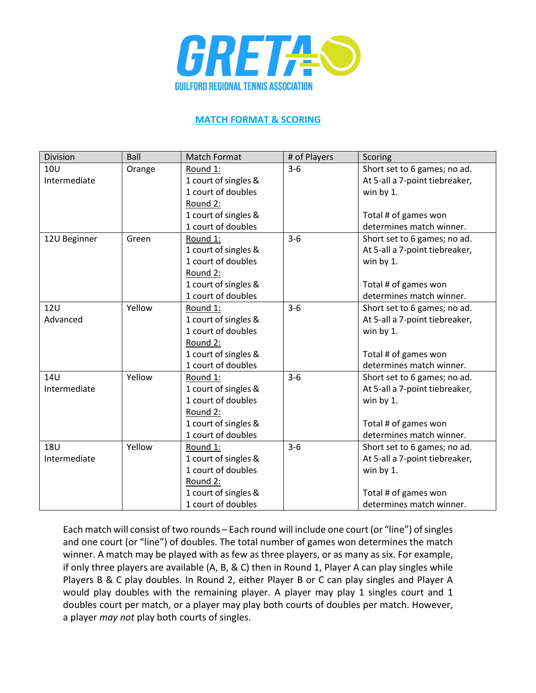

## MATCH FORMAT & SCORING

| <b>Division</b> | Ball   | <b>Match Format</b>  | # of Players | Scoring                        |
|-----------------|--------|----------------------|--------------|--------------------------------|
| 10 <sub>U</sub> | Orange | Round 1:             | $3-6$        | Short set to 6 games; no ad.   |
| Intermediate    |        | 1 court of singles & |              | At 5-all a 7-point tiebreaker, |
|                 |        | 1 court of doubles   |              | win by 1.                      |
|                 |        | Round 2:             |              |                                |
|                 |        | 1 court of singles & |              | Total # of games won           |
|                 |        | 1 court of doubles   |              | determines match winner.       |
| 12U Beginner    | Green  | Round 1:             | $3-6$        | Short set to 6 games; no ad.   |
|                 |        | 1 court of singles & |              | At 5-all a 7-point tiebreaker, |
|                 |        | 1 court of doubles   |              | win by 1.                      |
|                 |        | Round 2:             |              |                                |
|                 |        | 1 court of singles & |              | Total # of games won           |
|                 |        | 1 court of doubles   |              | determines match winner.       |
| <b>12U</b>      | Yellow | Round 1:             | $3-6$        | Short set to 6 games; no ad.   |
| Advanced        |        | 1 court of singles & |              | At 5-all a 7-point tiebreaker, |
|                 |        | 1 court of doubles   |              | win by 1.                      |
|                 |        | Round 2:             |              |                                |
|                 |        | 1 court of singles & |              | Total # of games won           |
|                 |        | 1 court of doubles   |              | determines match winner.       |
| <b>14U</b>      | Yellow | Round 1:             | $3-6$        | Short set to 6 games; no ad.   |
| Intermediate    |        | 1 court of singles & |              | At 5-all a 7-point tiebreaker, |
|                 |        | 1 court of doubles   |              | win by 1.                      |
|                 |        | Round 2:             |              |                                |
|                 |        | 1 court of singles & |              | Total # of games won           |
|                 |        | 1 court of doubles   |              | determines match winner.       |
| <b>18U</b>      | Yellow | Round 1:             | $3-6$        | Short set to 6 games; no ad.   |
| Intermediate    |        | 1 court of singles & |              | At 5-all a 7-point tiebreaker, |
|                 |        | 1 court of doubles   |              | win by 1.                      |
|                 |        | Round 2:             |              |                                |
|                 |        | 1 court of singles & |              | Total # of games won           |
|                 |        | 1 court of doubles   |              | determines match winner.       |

Each match will consist of two rounds – Each round will include one court (or "line") of singles and one court (or "line") of doubles. The total number of games won determines the match winner. A match may be played with as few as three players, or as many as six. For example, if only three players are available (A, B, & C) then in Round 1, Player A can play singles while Players B & C play doubles. In Round 2, either Player B or C can play singles and Player A would play doubles with the remaining player. A player may play 1 singles court and 1 doubles court per match, or a player may play both courts of doubles per match. However, a player may not play both courts of singles.